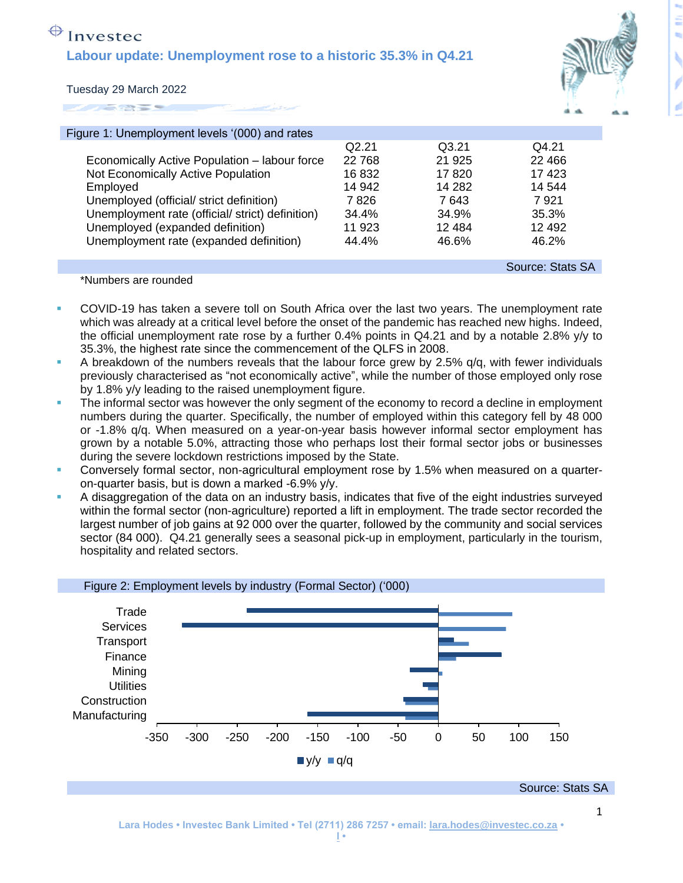## $\bigoplus$  Investec **Labour update: Unemployment rose to a historic 35.3% in Q4.21**



Tuesday 29 March 2022

| Figure 1: Unemployment levels '(000) and rates   |        |         |                  |
|--------------------------------------------------|--------|---------|------------------|
|                                                  | Q2.21  | Q3.21   | Q4.21            |
| Economically Active Population - labour force    | 22 768 | 21 9 25 | 22 4 6 6         |
| Not Economically Active Population               | 16832  | 17820   | 17423            |
| Employed                                         | 14 942 | 14 282  | 14 544           |
| Unemployed (official/ strict definition)         | 7 826  | 7 643   | 7921             |
| Unemployment rate (official/ strict) definition) | 34.4%  | 34.9%   | 35.3%            |
| Unemployed (expanded definition)                 | 11 923 | 12484   | 12 4 9 2         |
| Unemployment rate (expanded definition)          | 44.4%  | 46.6%   | 46.2%            |
|                                                  |        |         | Source: Stats SA |

\*Numbers are rounded

- COVID-19 has taken a severe toll on South Africa over the last two vears. The unemployment rate which was already at a critical level before the onset of the pandemic has reached new highs. Indeed, the official unemployment rate rose by a further 0.4% points in Q4.21 and by a notable 2.8% y/y to 35.3%, the highest rate since the commencement of the QLFS in 2008.
- A breakdown of the numbers reveals that the labour force grew by 2.5%  $q/q$ , with fewer individuals previously characterised as "not economically active", while the number of those employed only rose by 1.8% y/y leading to the raised unemployment figure.
- The informal sector was however the only segment of the economy to record a decline in employment numbers during the quarter. Specifically, the number of employed within this category fell by 48 000 or -1.8% q/q. When measured on a year-on-year basis however informal sector employment has grown by a notable 5.0%, attracting those who perhaps lost their formal sector jobs or businesses during the severe lockdown restrictions imposed by the State.
- **•** Conversely formal sector, non-agricultural employment rose by 1.5% when measured on a quarteron-quarter basis, but is down a marked -6.9% y/y.
- **•** A disaggregation of the data on an industry basis, indicates that five of the eight industries surveyed within the formal sector (non-agriculture) reported a lift in employment. The trade sector recorded the largest number of job gains at 92 000 over the quarter, followed by the community and social services sector (84 000). Q4.21 generally sees a seasonal pick-up in employment, particularly in the tourism, hospitality and related sectors.

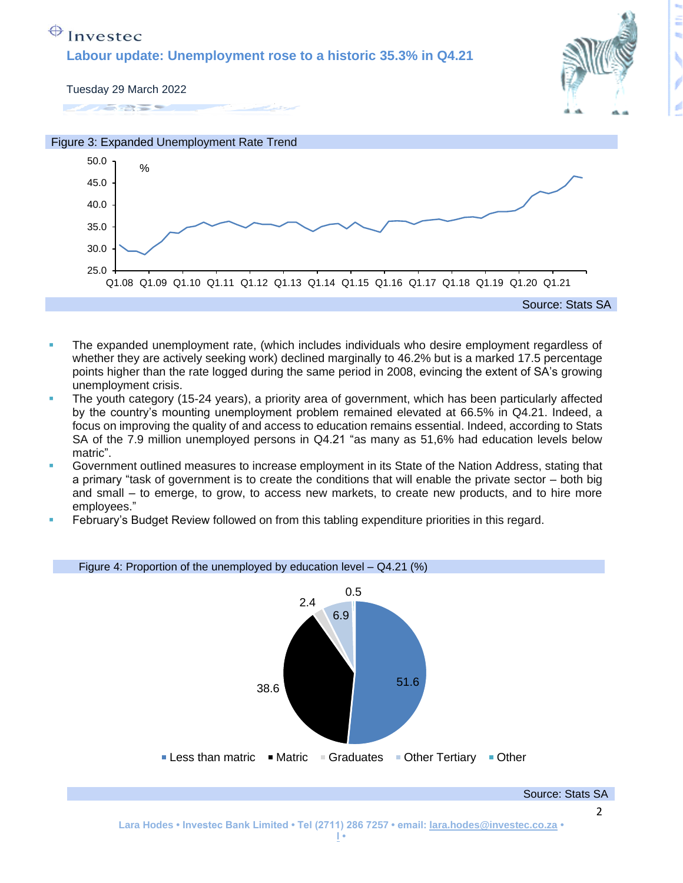## $\bigoplus$  Investec

**Labour update: Unemployment rose to a historic 35.3% in Q4.21** 



Tuesday 29 March 2022





- The expanded unemployment rate, (which includes individuals who desire employment regardless of whether they are actively seeking work) declined marginally to 46.2% but is a marked 17.5 percentage points higher than the rate logged during the same period in 2008, evincing the extent of SA's growing unemployment crisis.
- The youth category (15-24 years), a priority area of government, which has been particularly affected by the country's mounting unemployment problem remained elevated at 66.5% in Q4.21. Indeed, a focus on improving the quality of and access to education remains essential. Indeed, according to Stats SA of the 7.9 million unemployed persons in Q4.21 "as many as 51,6% had education levels below matric".
- Government outlined measures to increase employment in its State of the Nation Address, stating that a primary "task of government is to create the conditions that will enable the private sector – both big and small – to emerge, to grow, to access new markets, to create new products, and to hire more employees."
- February's Budget Review followed on from this tabling expenditure priorities in this regard.

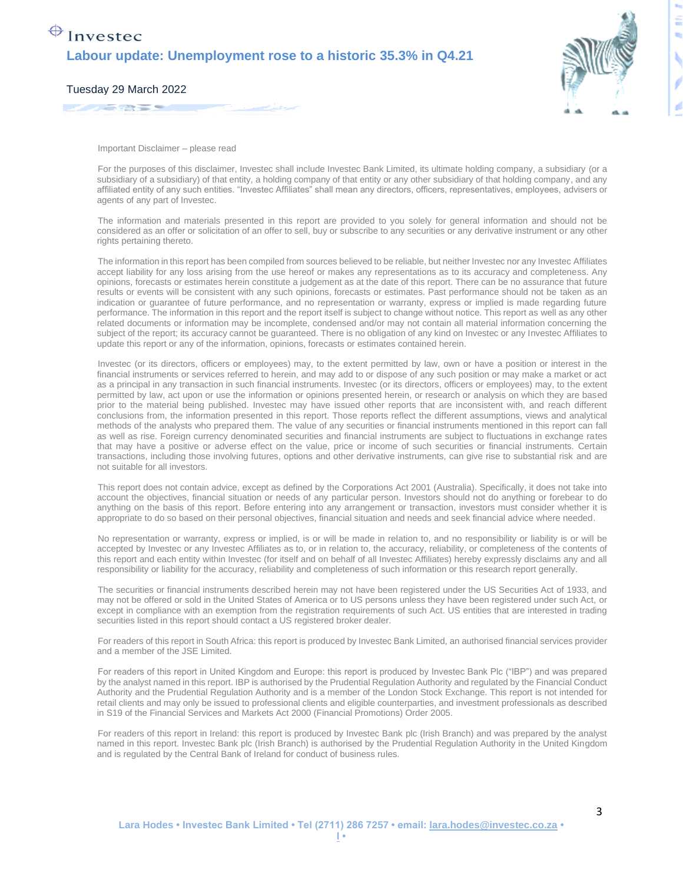

3

Tuesday 29 March 2022 

Important Disclaimer – please read

For the purposes of this disclaimer, Investec shall include Investec Bank Limited, its ultimate holding company, a subsidiary (or a subsidiary of a subsidiary) of that entity, a holding company of that entity or any other subsidiary of that holding company, and any affiliated entity of any such entities. "Investec Affiliates" shall mean any directors, officers, representatives, employees, advisers or agents of any part of Investec.

The information and materials presented in this report are provided to you solely for general information and should not be considered as an offer or solicitation of an offer to sell, buy or subscribe to any securities or any derivative instrument or any other rights pertaining thereto.

The information in this report has been compiled from sources believed to be reliable, but neither Investec nor any Investec Affiliates accept liability for any loss arising from the use hereof or makes any representations as to its accuracy and completeness. Any opinions, forecasts or estimates herein constitute a judgement as at the date of this report. There can be no assurance that future results or events will be consistent with any such opinions, forecasts or estimates. Past performance should not be taken as an indication or guarantee of future performance, and no representation or warranty, express or implied is made regarding future performance. The information in this report and the report itself is subject to change without notice. This report as well as any other related documents or information may be incomplete, condensed and/or may not contain all material information concerning the subject of the report; its accuracy cannot be guaranteed. There is no obligation of any kind on Investec or any Investec Affiliates to update this report or any of the information, opinions, forecasts or estimates contained herein.

Investec (or its directors, officers or employees) may, to the extent permitted by law, own or have a position or interest in the financial instruments or services referred to herein, and may add to or dispose of any such position or may make a market or act as a principal in any transaction in such financial instruments. Investec (or its directors, officers or employees) may, to the extent permitted by law, act upon or use the information or opinions presented herein, or research or analysis on which they are based prior to the material being published. Investec may have issued other reports that are inconsistent with, and reach different conclusions from, the information presented in this report. Those reports reflect the different assumptions, views and analytical methods of the analysts who prepared them. The value of any securities or financial instruments mentioned in this report can fall as well as rise. Foreign currency denominated securities and financial instruments are subject to fluctuations in exchange rates that may have a positive or adverse effect on the value, price or income of such securities or financial instruments. Certain transactions, including those involving futures, options and other derivative instruments, can give rise to substantial risk and are not suitable for all investors.

This report does not contain advice, except as defined by the Corporations Act 2001 (Australia). Specifically, it does not take into account the objectives, financial situation or needs of any particular person. Investors should not do anything or forebear to do anything on the basis of this report. Before entering into any arrangement or transaction, investors must consider whether it is appropriate to do so based on their personal objectives, financial situation and needs and seek financial advice where needed.

No representation or warranty, express or implied, is or will be made in relation to, and no responsibility or liability is or will be accepted by Investec or any Investec Affiliates as to, or in relation to, the accuracy, reliability, or completeness of the contents of this report and each entity within Investec (for itself and on behalf of all Investec Affiliates) hereby expressly disclaims any and all responsibility or liability for the accuracy, reliability and completeness of such information or this research report generally.

The securities or financial instruments described herein may not have been registered under the US Securities Act of 1933, and may not be offered or sold in the United States of America or to US persons unless they have been registered under such Act, or except in compliance with an exemption from the registration requirements of such Act. US entities that are interested in trading securities listed in this report should contact a US registered broker dealer.

For readers of this report in South Africa: this report is produced by Investec Bank Limited, an authorised financial services provider and a member of the JSE Limited.

For readers of this report in United Kingdom and Europe: this report is produced by Investec Bank Plc ("IBP") and was prepared by the analyst named in this report. IBP is authorised by the Prudential Regulation Authority and regulated by the Financial Conduct Authority and the Prudential Regulation Authority and is a member of the London Stock Exchange. This report is not intended for retail clients and may only be issued to professional clients and eligible counterparties, and investment professionals as described in S19 of the Financial Services and Markets Act 2000 (Financial Promotions) Order 2005.

For readers of this report in Ireland: this report is produced by Investec Bank plc (Irish Branch) and was prepared by the analyst named in this report. Investec Bank plc (Irish Branch) is authorised by the Prudential Regulation Authority in the United Kingdom and is regulated by the Central Bank of Ireland for conduct of business rules.